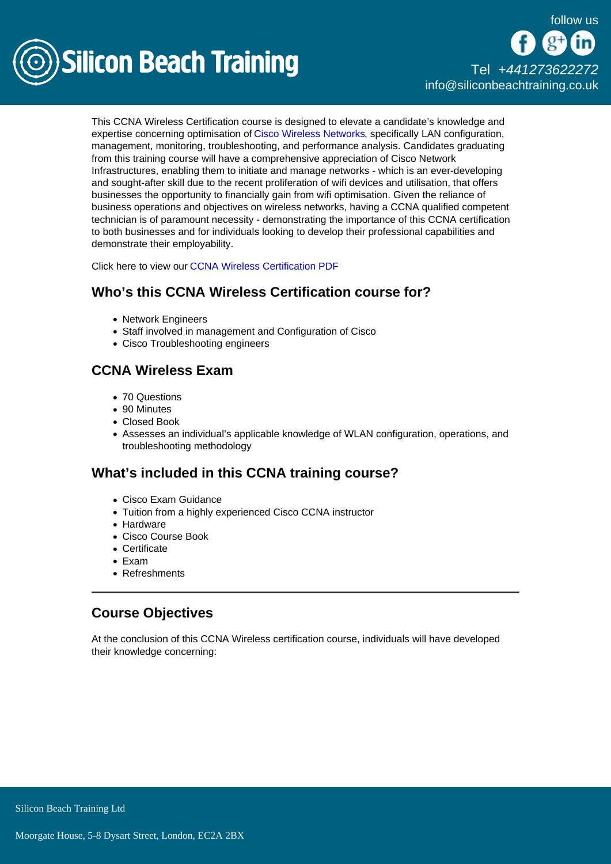

# [Tel +44](tel:+441273622272)1273622272 [info@siliconbeachtraining.co.uk](/var/www/html/siliconbeachtraining.co.uk/public/mailTo:info@siliconbeachtraining.co.uk)

This CCNA Wireless Certification course is designed to elevate a candidate's knowledge and expertise concerning optimisation of [Cisco Wireless Networks](/cisco-training), specifically LAN configuration, management, monitoring, troubleshooting, and performance analysis. Candidates graduating from this training course will have a comprehensive appreciation of Cisco Network Infrastructures, enabling them to initiate and manage networks - which is an ever-developing and sought-after skill due to the recent proliferation of wifi devices and utilisation, that offers businesses the opportunity to financially gain from wifi optimisation. Given the reliance of business operations and objectives on wireless networks, having a CCNA qualified competent technician is of paramount necessity - demonstrating the importance of this CCNA certification to both businesses and for individuals looking to develop their professional capabilities and demonstrate their employability.

Click here to view our [CCNA Wireless Certification PDF](/cisco-training/ccna-wireless-certification/pdf)

## Who's this CCNA Wireless Certification course for?

- Network Engineers
- Staff involved in management and Configuration of Cisco
- Cisco Troubleshooting engineers

## CCNA Wireless Exam

- 70 Questions
- 90 Minutes
- Closed Book
- Assesses an individual's applicable knowledge of WLAN configuration, operations, and troubleshooting methodology

## What's included in this CCNA training course?

- Cisco Exam Guidance
- Tuition from a highly experienced Cisco CCNA instructor
- Hardware
- Cisco Course Book
- Certificate
- Exam
- Refreshments

### Course Objectives

At the conclusion of this CCNA Wireless certification course, individuals will have developed their knowledge concerning: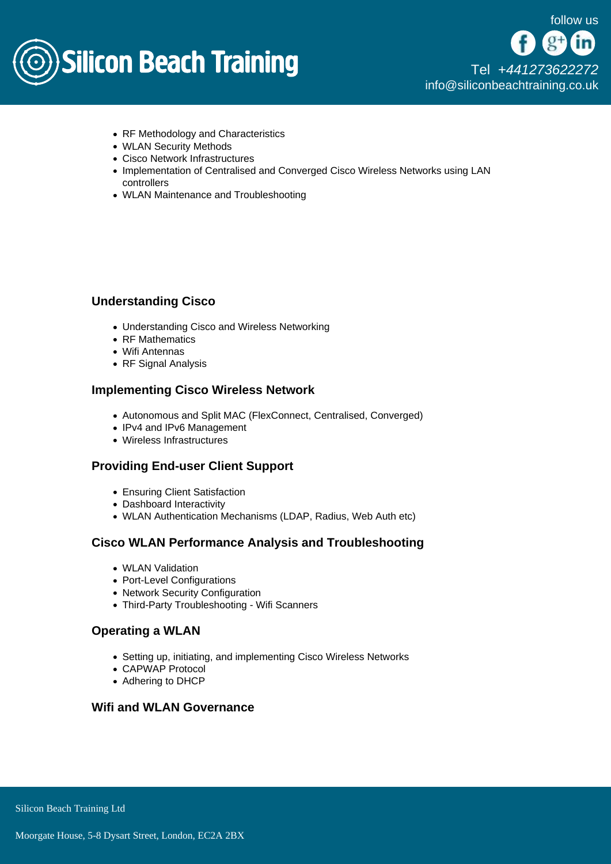

[Tel +44](tel:+441273622272)1273622272 [info@siliconbeachtraining.co.uk](/var/www/html/siliconbeachtraining.co.uk/public/mailTo:info@siliconbeachtraining.co.uk)

- RF Methodology and Characteristics
- WLAN Security Methods
- Cisco Network Infrastructures
- Implementation of Centralised and Converged Cisco Wireless Networks using LAN controllers
- WLAN Maintenance and Troubleshooting

### Understanding Cisco

- Understanding Cisco and Wireless Networking
- RF Mathematics
- Wifi Antennas
- RF Signal Analysis

### Implementing Cisco Wireless Network

- Autonomous and Split MAC (FlexConnect, Centralised, Converged)
- IPv4 and IPv6 Management
- Wireless Infrastructures

#### Providing End-user Client Support

- Ensuring Client Satisfaction
- Dashboard Interactivity
- WLAN Authentication Mechanisms (LDAP, Radius, Web Auth etc)

### Cisco WLAN Performance Analysis and Troubleshooting

- WLAN Validation
- Port-Level Configurations
- Network Security Configuration
- Third-Party Troubleshooting Wifi Scanners

#### Operating a WLAN

- Setting up, initiating, and implementing Cisco Wireless Networks
- CAPWAP Protocol
- Adhering to DHCP

Wifi and WLAN Governance